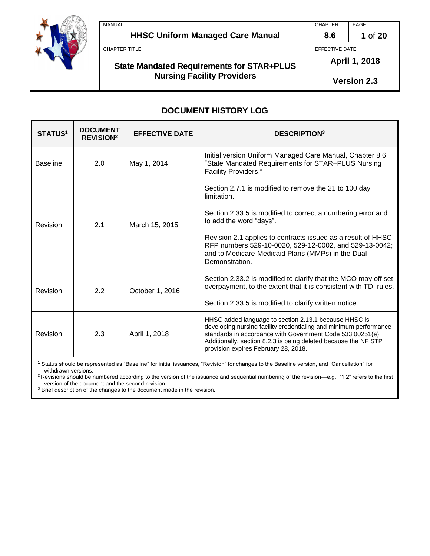

| MANUAL                                           | <b>CHAPTER</b> | PAGE    |
|--------------------------------------------------|----------------|---------|
| <b>HHSC Uniform Managed Care Manual</b>          | 8.6            | 1 of 20 |
| CHAPTER TITLE                                    | EFFECTIVE DATE |         |
| <b>State Mandated Requirements for STAR+PLUS</b> | April 1, 2018  |         |

**Version 2.3**

# **DOCUMENT HISTORY LOG**

**Nursing Facility Providers**

| <b>STATUS<sup>1</sup></b> | <b>DOCUMENT</b><br><b>REVISION<sup>2</sup></b> | <b>EFFECTIVE DATE</b> | <b>DESCRIPTION3</b>                                                                                                                                                                                                                                                                                                                                             |
|---------------------------|------------------------------------------------|-----------------------|-----------------------------------------------------------------------------------------------------------------------------------------------------------------------------------------------------------------------------------------------------------------------------------------------------------------------------------------------------------------|
| <b>Baseline</b>           | 2.0                                            | May 1, 2014           | Initial version Uniform Managed Care Manual, Chapter 8.6<br>"State Mandated Requirements for STAR+PLUS Nursing<br>Facility Providers."                                                                                                                                                                                                                          |
| Revision                  | 2.1                                            | March 15, 2015        | Section 2.7.1 is modified to remove the 21 to 100 day<br>limitation.<br>Section 2.33.5 is modified to correct a numbering error and<br>to add the word "days".<br>Revision 2.1 applies to contracts issued as a result of HHSC<br>RFP numbers 529-10-0020, 529-12-0002, and 529-13-0042;<br>and to Medicare-Medicaid Plans (MMPs) in the Dual<br>Demonstration. |
| Revision                  | 2.2                                            | October 1, 2016       | Section 2.33.2 is modified to clarify that the MCO may off set<br>overpayment, to the extent that it is consistent with TDI rules.<br>Section 2.33.5 is modified to clarify written notice.                                                                                                                                                                     |
| Revision                  | 2.3                                            | April 1, 2018         | HHSC added language to section 2.13.1 because HHSC is<br>developing nursing facility credentialing and minimum performance<br>standards in accordance with Government Code 533.00251(e).<br>Additionally, section 8.2.3 is being deleted because the NF STP<br>provision expires February 28, 2018.                                                             |

**<sup>1</sup>** Status should be represented as "Baseline" for initial issuances, "Revision" for changes to the Baseline version, and "Cancellation" for withdrawn versions.

<sup>2</sup> Revisions should be numbered according to the version of the issuance and sequential numbering of the revision—e.g., "1.2" refers to the first version of the document and the second revision.

<sup>3</sup> Brief description of the changes to the document made in the revision.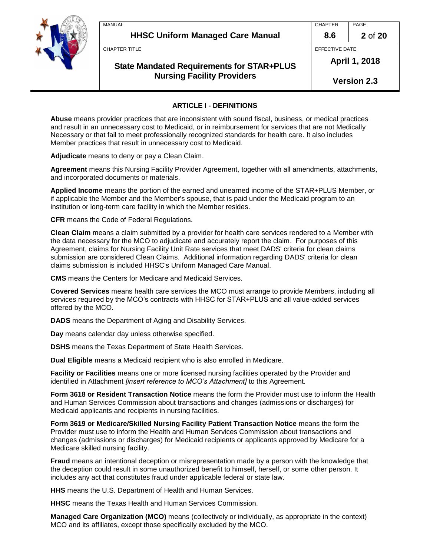

| MANUAL                                  | <b>CHAPTER</b> | PAGE            |
|-----------------------------------------|----------------|-----------------|
| <b>HHSC Uniform Managed Care Manual</b> | 8.6            | 2 of 20         |
| CHAPTER TITLE                           | EFFECTIVE DATE |                 |
|                                         | Anril 1        | <b>_ ጋበ</b> 1 Ջ |

# **State Mandated Requirements for STAR+PLUS Nursing Facility Providers**

**April 1, 2018**

**Version 2.3**

## **ARTICLE I - DEFINITIONS**

**Abuse** means provider practices that are inconsistent with sound fiscal, business, or medical practices and result in an unnecessary cost to Medicaid, or in reimbursement for services that are not Medically Necessary or that fail to meet professionally recognized standards for health care. It also includes Member practices that result in unnecessary cost to Medicaid.

**Adjudicate** means to deny or pay a Clean Claim.

**Agreement** means this Nursing Facility Provider Agreement, together with all amendments, attachments, and incorporated documents or materials.

**Applied Income** means the portion of the earned and unearned income of the STAR+PLUS Member, or if applicable the Member and the Member's spouse, that is paid under the Medicaid program to an institution or long-term care facility in which the Member resides.

**CFR** means the Code of Federal Regulations.

**Clean Claim** means a claim submitted by a provider for health care services rendered to a Member with the data necessary for the MCO to adjudicate and accurately report the claim. For purposes of this Agreement, claims for Nursing Facility Unit Rate services that meet DADS' criteria for clean claims submission are considered Clean Claims. Additional information regarding DADS' criteria for clean claims submission is included HHSC's Uniform Managed Care Manual.

**CMS** means the Centers for Medicare and Medicaid Services.

**Covered Services** means health care services the MCO must arrange to provide Members, including all services required by the MCO's contracts with HHSC for STAR+PLUS and all value-added services offered by the MCO.

**DADS** means the Department of Aging and Disability Services.

**Day** means calendar day unless otherwise specified.

**DSHS** means the Texas Department of State Health Services.

**Dual Eligible** means a Medicaid recipient who is also enrolled in Medicare.

**Facility or Facilities** means one or more licensed nursing facilities operated by the Provider and identified in Attachment *[insert reference to MCO's Attachment]* to this Agreement.

**Form 3618 or Resident Transaction Notice** means the form the Provider must use to inform the Health and Human Services Commission about transactions and changes (admissions or discharges) for Medicaid applicants and recipients in nursing facilities.

**Form 3619 or Medicare/Skilled Nursing Facility Patient Transaction Notice** means the form the Provider must use to inform the Health and Human Services Commission about transactions and changes (admissions or discharges) for Medicaid recipients or applicants approved by Medicare for a Medicare skilled nursing facility.

**Fraud** means an intentional deception or misrepresentation made by a person with the knowledge that the deception could result in some unauthorized benefit to himself, herself, or some other person. It includes any act that constitutes fraud under applicable federal or state law.

**HHS** means the U.S. Department of Health and Human Services.

**HHSC** means the Texas Health and Human Services Commission.

**Managed Care Organization (MCO)** means (collectively or individually, as appropriate in the context) MCO and its affiliates, except those specifically excluded by the MCO.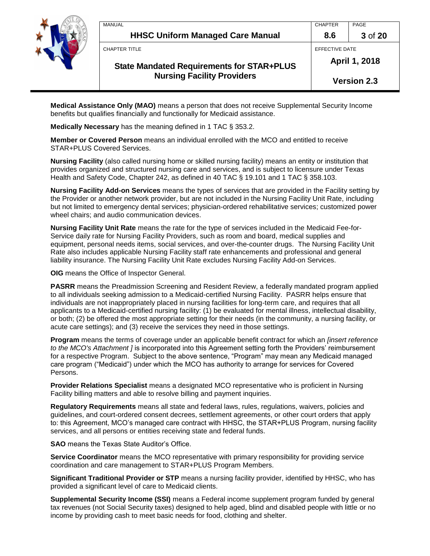

| MANUAL                                           | <b>CHAPTER</b> | PAGE               |
|--------------------------------------------------|----------------|--------------------|
| <b>HHSC Uniform Managed Care Manual</b>          | 8.6            | 3 of 20            |
| CHAPTER TITLE                                    | EFFECTIVE DATE |                    |
| <b>State Mandated Requirements for STAR+PLUS</b> | April 1, 2018  |                    |
| <b>Nursing Facility Providers</b>                |                | <b>Version 2.3</b> |

**Medical Assistance Only (MAO)** means a person that does not receive Supplemental Security Income benefits but qualifies financially and functionally for Medicaid assistance.

**Medically Necessary** has the meaning defined in 1 TAC § 353.2.

**Member or Covered Person** means an individual enrolled with the MCO and entitled to receive STAR+PLUS Covered Services.

**Nursing Facility** (also called nursing home or skilled nursing facility) means an entity or institution that provides organized and structured nursing care and services, and is subject to licensure under Texas Health and Safety Code, Chapter 242, as defined in 40 TAC § 19.101 and 1 TAC § 358.103.

**Nursing Facility Add-on Services** means the types of services that are provided in the Facility setting by the Provider or another network provider, but are not included in the Nursing Facility Unit Rate, including but not limited to emergency dental services; physician-ordered rehabilitative services; customized power wheel chairs; and audio communication devices.

**Nursing Facility Unit Rate** means the rate for the type of services included in the Medicaid Fee-for-Service daily rate for Nursing Facility Providers, such as room and board, medical supplies and equipment, personal needs items, social services, and over-the-counter drugs. The Nursing Facility Unit Rate also includes applicable Nursing Facility staff rate enhancements and professional and general liability insurance. The Nursing Facility Unit Rate excludes Nursing Facility Add-on Services.

**OIG** means the Office of Inspector General.

**PASRR** means the Preadmission Screening and Resident Review, a federally mandated program applied to all individuals seeking admission to a Medicaid-certified Nursing Facility. PASRR helps ensure that individuals are not inappropriately placed in nursing facilities for long-term care, and requires that all applicants to a Medicaid-certified nursing facility: (1) be evaluated for mental illness, intellectual disability, or both; (2) be offered the most appropriate setting for their needs (in the community, a nursing facility, or acute care settings); and (3) receive the services they need in those settings.

**Program** means the terms of coverage under an applicable benefit contract for which an *[insert reference to the MCO's Attachment ]* is incorporated into this Agreement setting forth the Providers' reimbursement for a respective Program. Subject to the above sentence, "Program" may mean any Medicaid managed care program ("Medicaid") under which the MCO has authority to arrange for services for Covered Persons.

**Provider Relations Specialist** means a designated MCO representative who is proficient in Nursing Facility billing matters and able to resolve billing and payment inquiries.

**Regulatory Requirements** means all state and federal laws, rules, regulations, waivers, policies and guidelines, and court-ordered consent decrees, settlement agreements, or other court orders that apply to: this Agreement, MCO's managed care contract with HHSC, the STAR+PLUS Program, nursing facility services, and all persons or entities receiving state and federal funds.

**SAO** means the Texas State Auditor's Office.

**Service Coordinator** means the MCO representative with primary responsibility for providing service coordination and care management to STAR+PLUS Program Members.

**Significant Traditional Provider or STP** means a nursing facility provider, identified by HHSC, who has provided a significant level of care to Medicaid clients.

**Supplemental Security Income (SSI)** means a Federal income supplement program funded by general tax revenues (not Social Security taxes) designed to help aged, blind and disabled people with little or no income by providing cash to meet basic needs for food, clothing and shelter.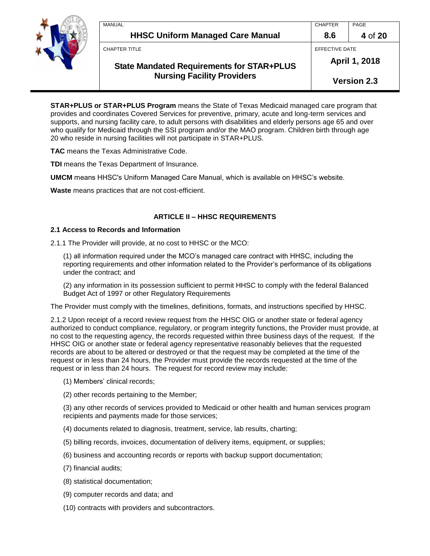

| MANUAL                                           | <b>CHAPTER</b> | PAGE               |
|--------------------------------------------------|----------------|--------------------|
| <b>HHSC Uniform Managed Care Manual</b>          | 8.6            | 4 of 20            |
| CHAPTER TITLE                                    | EFFECTIVE DATE |                    |
| <b>State Mandated Requirements for STAR+PLUS</b> |                | April 1, 2018      |
| <b>Nursing Facility Providers</b>                |                | <b>Version 2.3</b> |

**STAR+PLUS or STAR+PLUS Program** means the State of Texas Medicaid managed care program that provides and coordinates Covered Services for preventive, primary, acute and long-term services and supports, and nursing facility care, to adult persons with disabilities and elderly persons age 65 and over who qualify for Medicaid through the SSI program and/or the MAO program. Children birth through age 20 who reside in nursing facilities will not participate in STAR+PLUS.

**TAC** means the Texas Administrative Code.

**TDI** means the Texas Department of Insurance.

**UMCM** means HHSC's Uniform Managed Care Manual, which is available on HHSC's website.

**Waste** means practices that are not cost-efficient.

### **ARTICLE II – HHSC REQUIREMENTS**

#### **2.1 Access to Records and Information**

2.1.1 The Provider will provide, at no cost to HHSC or the MCO:

(1) all information required under the MCO's managed care contract with HHSC, including the reporting requirements and other information related to the Provider's performance of its obligations under the contract; and

(2) any information in its possession sufficient to permit HHSC to comply with the federal Balanced Budget Act of 1997 or other Regulatory Requirements

The Provider must comply with the timelines, definitions, formats, and instructions specified by HHSC.

2.1.2 Upon receipt of a record review request from the HHSC OIG or another state or federal agency authorized to conduct compliance, regulatory, or program integrity functions, the Provider must provide, at no cost to the requesting agency, the records requested within three business days of the request. If the HHSC OIG or another state or federal agency representative reasonably believes that the requested records are about to be altered or destroyed or that the request may be completed at the time of the request or in less than 24 hours, the Provider must provide the records requested at the time of the request or in less than 24 hours. The request for record review may include:

- (1) Members' clinical records;
- (2) other records pertaining to the Member;

(3) any other records of services provided to Medicaid or other health and human services program recipients and payments made for those services;

- (4) documents related to diagnosis, treatment, service, lab results, charting;
- (5) billing records, invoices, documentation of delivery items, equipment, or supplies;
- (6) business and accounting records or reports with backup support documentation;
- (7) financial audits;
- (8) statistical documentation;
- (9) computer records and data; and
- (10) contracts with providers and subcontractors.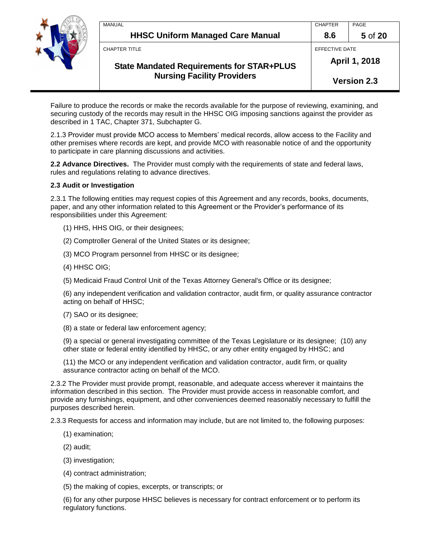

| MANUAL                                           | <b>CHAPTER</b> | PAGE               |
|--------------------------------------------------|----------------|--------------------|
| <b>HHSC Uniform Managed Care Manual</b>          | 8.6            | 5 of 20            |
| <b>CHAPTER TITLE</b>                             | EFFECTIVE DATE |                    |
| <b>State Mandated Requirements for STAR+PLUS</b> |                | April 1, 2018      |
| <b>Nursing Facility Providers</b>                |                | <b>Version 2.3</b> |

Failure to produce the records or make the records available for the purpose of reviewing, examining, and securing custody of the records may result in the HHSC OIG imposing sanctions against the provider as described in 1 TAC, Chapter 371, Subchapter G.

2.1.3 Provider must provide MCO access to Members' medical records, allow access to the Facility and other premises where records are kept, and provide MCO with reasonable notice of and the opportunity to participate in care planning discussions and activities.

**2.2 Advance Directives.** The Provider must comply with the requirements of state and federal laws, rules and regulations relating to advance directives.

### **2.3 Audit or Investigation**

2.3.1 The following entities may request copies of this Agreement and any records, books, documents, paper, and any other information related to this Agreement or the Provider's performance of its responsibilities under this Agreement:

- (1) HHS, HHS OIG, or their designees;
- (2) Comptroller General of the United States or its designee;
- (3) MCO Program personnel from HHSC or its designee;
- (4) HHSC OIG;
- (5) Medicaid Fraud Control Unit of the Texas Attorney General's Office or its designee;

(6) any independent verification and validation contractor, audit firm, or quality assurance contractor acting on behalf of HHSC;

- (7) SAO or its designee;
- (8) a state or federal law enforcement agency;

(9) a special or general investigating committee of the Texas Legislature or its designee; (10) any other state or federal entity identified by HHSC, or any other entity engaged by HHSC; and

(11) the MCO or any independent verification and validation contractor, audit firm, or quality assurance contractor acting on behalf of the MCO.

2.3.2 The Provider must provide prompt, reasonable, and adequate access wherever it maintains the information described in this section. The Provider must provide access in reasonable comfort, and provide any furnishings, equipment, and other conveniences deemed reasonably necessary to fulfill the purposes described herein.

2.3.3 Requests for access and information may include, but are not limited to, the following purposes:

- (1) examination;
- (2) audit;
- (3) investigation;
- (4) contract administration;
- (5) the making of copies, excerpts, or transcripts; or

(6) for any other purpose HHSC believes is necessary for contract enforcement or to perform its regulatory functions.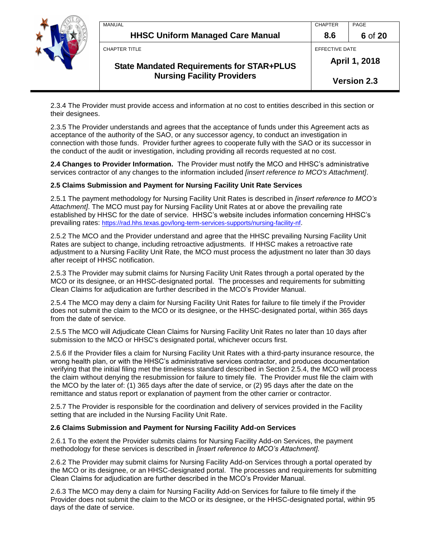

| MANUAL                                           | <b>CHAPTER</b> | PAGE               |
|--------------------------------------------------|----------------|--------------------|
| <b>HHSC Uniform Managed Care Manual</b>          | 8.6            | 6 of 20            |
| CHAPTER TITLE                                    | EFFECTIVE DATE |                    |
| <b>State Mandated Requirements for STAR+PLUS</b> |                | April 1, 2018      |
| <b>Nursing Facility Providers</b>                |                | <b>Version 2.3</b> |

2.3.4 The Provider must provide access and information at no cost to entities described in this section or their designees.

2.3.5 The Provider understands and agrees that the acceptance of funds under this Agreement acts as acceptance of the authority of the SAO, or any successor agency, to conduct an investigation in connection with those funds. Provider further agrees to cooperate fully with the SAO or its successor in the conduct of the audit or investigation, including providing all records requested at no cost.

**2.4 Changes to Provider Information.** The Provider must notify the MCO and HHSC's administrative services contractor of any changes to the information included *[insert reference to MCO's Attachment]*.

#### **2.5 Claims Submission and Payment for Nursing Facility Unit Rate Services**

2.5.1 The payment methodology for Nursing Facility Unit Rates is described in *[insert reference to MCO's Attachment]*. The MCO must pay for Nursing Facility Unit Rates at or above the prevailing rate established by HHSC for the date of service. HHSC's website includes information concerning HHSC's prevailing rates: <https://rad.hhs.texas.gov/long-term-services-supports/nursing-facility-nf>.

2.5.2 The MCO and the Provider understand and agree that the HHSC prevailing Nursing Facility Unit Rates are subject to change, including retroactive adjustments. If HHSC makes a retroactive rate adjustment to a Nursing Facility Unit Rate, the MCO must process the adjustment no later than 30 days after receipt of HHSC notification.

2.5.3 The Provider may submit claims for Nursing Facility Unit Rates through a portal operated by the MCO or its designee, or an HHSC-designated portal. The processes and requirements for submitting Clean Claims for adjudication are further described in the MCO's Provider Manual.

2.5.4 The MCO may deny a claim for Nursing Facility Unit Rates for failure to file timely if the Provider does not submit the claim to the MCO or its designee, or the HHSC-designated portal, within 365 days from the date of service.

2.5.5 The MCO will Adjudicate Clean Claims for Nursing Facility Unit Rates no later than 10 days after submission to the MCO or HHSC's designated portal, whichever occurs first.

2.5.6 If the Provider files a claim for Nursing Facility Unit Rates with a third-party insurance resource, the wrong health plan, or with the HHSC's administrative services contractor, and produces documentation verifying that the initial filing met the timeliness standard described in Section 2.5.4, the MCO will process the claim without denying the resubmission for failure to timely file. The Provider must file the claim with the MCO by the later of: (1) 365 days after the date of service, or (2) 95 days after the date on the remittance and status report or explanation of payment from the other carrier or contractor.

2.5.7 The Provider is responsible for the coordination and delivery of services provided in the Facility setting that are included in the Nursing Facility Unit Rate.

#### **2.6 Claims Submission and Payment for Nursing Facility Add-on Services**

2.6.1 To the extent the Provider submits claims for Nursing Facility Add-on Services, the payment methodology for these services is described in *[insert reference to MCO's Attachment].*

2.6.2 The Provider may submit claims for Nursing Facility Add-on Services through a portal operated by the MCO or its designee, or an HHSC-designated portal. The processes and requirements for submitting Clean Claims for adjudication are further described in the MCO's Provider Manual.

2.6.3 The MCO may deny a claim for Nursing Facility Add-on Services for failure to file timely if the Provider does not submit the claim to the MCO or its designee, or the HHSC-designated portal, within 95 days of the date of service.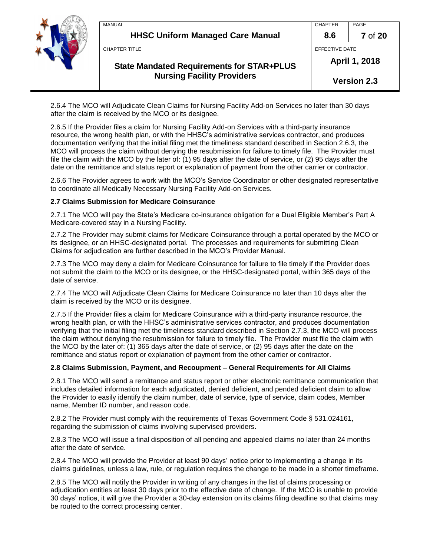

| <b>MANUAL</b>                                    | <b>CHAPTER</b> | PAGE               |
|--------------------------------------------------|----------------|--------------------|
| <b>HHSC Uniform Managed Care Manual</b>          | 8.6            | <b>7</b> of 20     |
| CHAPTER TITLE                                    | EFFECTIVE DATE |                    |
| <b>State Mandated Requirements for STAR+PLUS</b> | April 1, 2018  |                    |
| <b>Nursing Facility Providers</b>                |                | <b>Version 2.3</b> |

2.6.4 The MCO will Adjudicate Clean Claims for Nursing Facility Add-on Services no later than 30 days after the claim is received by the MCO or its designee.

2.6.5 If the Provider files a claim for Nursing Facility Add-on Services with a third-party insurance resource, the wrong health plan, or with the HHSC's administrative services contractor, and produces documentation verifying that the initial filing met the timeliness standard described in Section 2.6.3, the MCO will process the claim without denying the resubmission for failure to timely file. The Provider must file the claim with the MCO by the later of: (1) 95 days after the date of service, or (2) 95 days after the date on the remittance and status report or explanation of payment from the other carrier or contractor.

2.6.6 The Provider agrees to work with the MCO's Service Coordinator or other designated representative to coordinate all Medically Necessary Nursing Facility Add-on Services.

### **2.7 Claims Submission for Medicare Coinsurance**

2.7.1 The MCO will pay the State's Medicare co-insurance obligation for a Dual Eligible Member's Part A Medicare-covered stay in a Nursing Facility.

2.7.2 The Provider may submit claims for Medicare Coinsurance through a portal operated by the MCO or its designee, or an HHSC-designated portal. The processes and requirements for submitting Clean Claims for adjudication are further described in the MCO's Provider Manual.

2.7.3 The MCO may deny a claim for Medicare Coinsurance for failure to file timely if the Provider does not submit the claim to the MCO or its designee, or the HHSC-designated portal, within 365 days of the date of service.

2.7.4 The MCO will Adjudicate Clean Claims for Medicare Coinsurance no later than 10 days after the claim is received by the MCO or its designee.

2.7.5 If the Provider files a claim for Medicare Coinsurance with a third-party insurance resource, the wrong health plan, or with the HHSC's administrative services contractor, and produces documentation verifying that the initial filing met the timeliness standard described in Section 2.7.3, the MCO will process the claim without denying the resubmission for failure to timely file. The Provider must file the claim with the MCO by the later of: (1) 365 days after the date of service, or (2) 95 days after the date on the remittance and status report or explanation of payment from the other carrier or contractor.

#### **2.8 Claims Submission, Payment, and Recoupment – General Requirements for All Claims**

2.8.1 The MCO will send a remittance and status report or other electronic remittance communication that includes detailed information for each adjudicated, denied deficient, and pended deficient claim to allow the Provider to easily identify the claim number, date of service, type of service, claim codes, Member name, Member ID number, and reason code.

2.8.2 The Provider must comply with the requirements of Texas Government Code § 531.024161, regarding the submission of claims involving supervised providers.

2.8.3 The MCO will issue a final disposition of all pending and appealed claims no later than 24 months after the date of service.

2.8.4 The MCO will provide the Provider at least 90 days' notice prior to implementing a change in its claims guidelines, unless a law, rule, or regulation requires the change to be made in a shorter timeframe.

2.8.5 The MCO will notify the Provider in writing of any changes in the list of claims processing or adjudication entities at least 30 days prior to the effective date of change. If the MCO is unable to provide 30 days' notice, it will give the Provider a 30-day extension on its claims filing deadline so that claims may be routed to the correct processing center.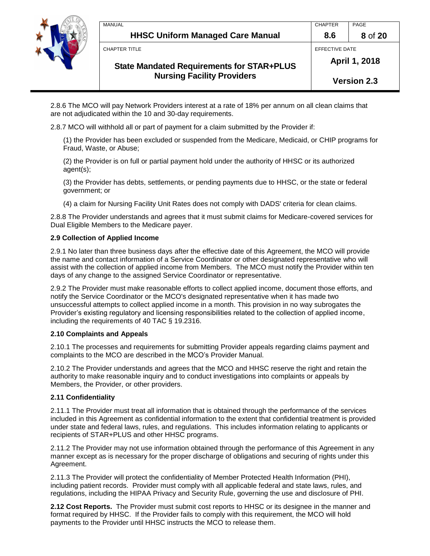

| MANUAL                                           | <b>CHAPTER</b> | PAGE               |
|--------------------------------------------------|----------------|--------------------|
| <b>HHSC Uniform Managed Care Manual</b>          | 8.6            | 8 of 20            |
| <b>CHAPTER TITLE</b>                             | EFFECTIVE DATE |                    |
| <b>State Mandated Requirements for STAR+PLUS</b> | April 1, 2018  |                    |
| <b>Nursing Facility Providers</b>                |                | <b>Version 2.3</b> |

2.8.6 The MCO will pay Network Providers interest at a rate of 18% per annum on all clean claims that are not adjudicated within the 10 and 30-day requirements.

2.8.7 MCO will withhold all or part of payment for a claim submitted by the Provider if:

(1) the Provider has been excluded or suspended from the Medicare, Medicaid, or CHIP programs for Fraud, Waste, or Abuse;

(2) the Provider is on full or partial payment hold under the authority of HHSC or its authorized agent(s);

(3) the Provider has debts, settlements, or pending payments due to HHSC, or the state or federal government; or

(4) a claim for Nursing Facility Unit Rates does not comply with DADS' criteria for clean claims.

2.8.8 The Provider understands and agrees that it must submit claims for Medicare-covered services for Dual Eligible Members to the Medicare payer.

### **2.9 Collection of Applied Income**

2.9.1 No later than three business days after the effective date of this Agreement, the MCO will provide the name and contact information of a Service Coordinator or other designated representative who will assist with the collection of applied income from Members. The MCO must notify the Provider within ten days of any change to the assigned Service Coordinator or representative.

2.9.2 The Provider must make reasonable efforts to collect applied income, document those efforts, and notify the Service Coordinator or the MCO's designated representative when it has made two unsuccessful attempts to collect applied income in a month. This provision in no way subrogates the Provider's existing regulatory and licensing responsibilities related to the collection of applied income, including the requirements of 40 TAC § 19.2316.

#### **2.10 Complaints and Appeals**

2.10.1 The processes and requirements for submitting Provider appeals regarding claims payment and complaints to the MCO are described in the MCO's Provider Manual.

2.10.2 The Provider understands and agrees that the MCO and HHSC reserve the right and retain the authority to make reasonable inquiry and to conduct investigations into complaints or appeals by Members, the Provider, or other providers.

### **2.11 Confidentiality**

2.11.1 The Provider must treat all information that is obtained through the performance of the services included in this Agreement as confidential information to the extent that confidential treatment is provided under state and federal laws, rules, and regulations. This includes information relating to applicants or recipients of STAR+PLUS and other HHSC programs.

2.11.2 The Provider may not use information obtained through the performance of this Agreement in any manner except as is necessary for the proper discharge of obligations and securing of rights under this Agreement.

2.11.3 The Provider will protect the confidentiality of Member Protected Health Information (PHI), including patient records. Provider must comply with all applicable federal and state laws, rules, and regulations, including the HIPAA Privacy and Security Rule, governing the use and disclosure of PHI.

**2.12 Cost Reports.** The Provider must submit cost reports to HHSC or its designee in the manner and format required by HHSC. If the Provider fails to comply with this requirement, the MCO will hold payments to the Provider until HHSC instructs the MCO to release them.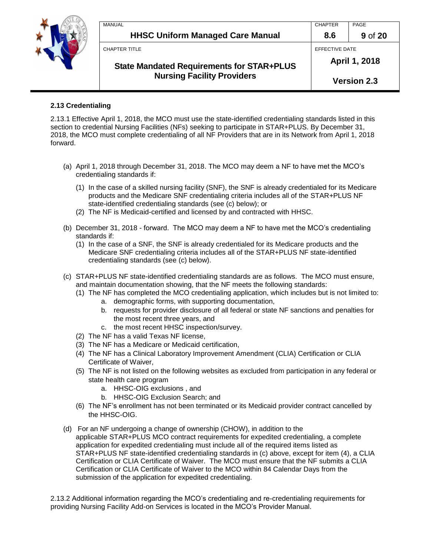

|               | <b>Nursing Facility Providers</b>                |                | <b>Version 2.3</b> |
|---------------|--------------------------------------------------|----------------|--------------------|
|               | <b>State Mandated Requirements for STAR+PLUS</b> | April 1, 2018  |                    |
| CHAPTER TITLE |                                                  | EFFECTIVE DATE |                    |
|               | <b>HHSC Uniform Managed Care Manual</b>          | 8.6            | 9 of 20            |
| MANUAL        |                                                  | <b>CHAPTER</b> | PAGE               |

### **2.13 Credentialing**

2.13.1 Effective April 1, 2018, the MCO must use the state-identified credentialing standards listed in this section to credential Nursing Facilities (NFs) seeking to participate in STAR+PLUS. By December 31, 2018, the MCO must complete credentialing of all NF Providers that are in its Network from April 1, 2018 forward.

- (a) April 1, 2018 through December 31, 2018. The MCO may deem a NF to have met the MCO's credentialing standards if:
	- (1) In the case of a skilled nursing facility (SNF), the SNF is already credentialed for its Medicare products and the Medicare SNF credentialing criteria includes all of the STAR+PLUS NF state-identified credentialing standards (see (c) below); or
	- (2) The NF is Medicaid-certified and licensed by and contracted with HHSC.
- (b) December 31, 2018 forward. The MCO may deem a NF to have met the MCO's credentialing standards if:
	- (1) In the case of a SNF, the SNF is already credentialed for its Medicare products and the Medicare SNF credentialing criteria includes all of the STAR+PLUS NF state-identified credentialing standards (see (c) below).
- (c) STAR+PLUS NF state-identified credentialing standards are as follows. The MCO must ensure, and maintain documentation showing, that the NF meets the following standards:
	- (1) The NF has completed the MCO credentialing application, which includes but is not limited to:
		- a. demographic forms, with supporting documentation,
		- b. requests for provider disclosure of all federal or state NF sanctions and penalties for the most recent three years, and
		- c. the most recent HHSC inspection/survey.
	- (2) The NF has a valid Texas NF license,
	- (3) The NF has a Medicare or Medicaid certification,
	- (4) The NF has a Clinical Laboratory Improvement Amendment (CLIA) Certification or CLIA Certificate of Waiver,
	- (5) The NF is not listed on the following websites as excluded from participation in any federal or state health care program
		- a. HHSC-OIG exclusions , and
		- b. HHSC-OIG Exclusion Search; and
	- (6) The NF's enrollment has not been terminated or its Medicaid provider contract cancelled by the HHSC-OIG.
- (d) For an NF undergoing a change of ownership (CHOW), in addition to the applicable STAR+PLUS MCO contract requirements for expedited credentialing, a complete application for expedited credentialing must include all of the required items listed as STAR+PLUS NF state-identified credentialing standards in (c) above, except for item (4), a CLIA Certification or CLIA Certificate of Waiver. The MCO must ensure that the NF submits a CLIA Certification or CLIA Certificate of Waiver to the MCO within 84 Calendar Days from the submission of the application for expedited credentialing.

2.13.2 Additional information regarding the MCO's credentialing and re-credentialing requirements for providing Nursing Facility Add-on Services is located in the MCO's Provider Manual.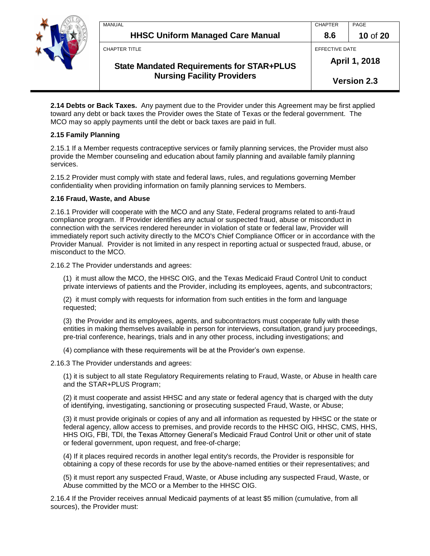

|  | MANUAL                                           | <b>CHAPTER</b> | PAGE               |
|--|--------------------------------------------------|----------------|--------------------|
|  | <b>HHSC Uniform Managed Care Manual</b>          | 8.6            | 10 of 20           |
|  | <b>CHAPTER TITLE</b>                             | EFFECTIVE DATE |                    |
|  | <b>State Mandated Requirements for STAR+PLUS</b> |                | April 1, 2018      |
|  | <b>Nursing Facility Providers</b>                |                | <b>Version 2.3</b> |

**2.14 Debts or Back Taxes.** Any payment due to the Provider under this Agreement may be first applied toward any debt or back taxes the Provider owes the State of Texas or the federal government. The MCO may so apply payments until the debt or back taxes are paid in full.

### **2.15 Family Planning**

2.15.1 If a Member requests contraceptive services or family planning services, the Provider must also provide the Member counseling and education about family planning and available family planning services.

2.15.2 Provider must comply with state and federal laws, rules, and regulations governing Member confidentiality when providing information on family planning services to Members.

### **2.16 Fraud, Waste, and Abuse**

2.16.1 Provider will cooperate with the MCO and any State, Federal programs related to anti-fraud compliance program. If Provider identifies any actual or suspected fraud, abuse or misconduct in connection with the services rendered hereunder in violation of state or federal law, Provider will immediately report such activity directly to the MCO's Chief Compliance Officer or in accordance with the Provider Manual. Provider is not limited in any respect in reporting actual or suspected fraud, abuse, or misconduct to the MCO.

2.16.2 The Provider understands and agrees:

(1) it must allow the MCO, the HHSC OIG, and the Texas Medicaid Fraud Control Unit to conduct private interviews of patients and the Provider, including its employees, agents, and subcontractors;

(2) it must comply with requests for information from such entities in the form and language requested;

(3) the Provider and its employees, agents, and subcontractors must cooperate fully with these entities in making themselves available in person for interviews, consultation, grand jury proceedings, pre-trial conference, hearings, trials and in any other process, including investigations; and

(4) compliance with these requirements will be at the Provider's own expense.

2.16.3 The Provider understands and agrees:

(1) it is subject to all state Regulatory Requirements relating to Fraud, Waste, or Abuse in health care and the STAR+PLUS Program;

(2) it must cooperate and assist HHSC and any state or federal agency that is charged with the duty of identifying, investigating, sanctioning or prosecuting suspected Fraud, Waste, or Abuse;

(3) it must provide originals or copies of any and all information as requested by HHSC or the state or federal agency, allow access to premises, and provide records to the HHSC OIG, HHSC, CMS, HHS, HHS OIG, FBI, TDI, the Texas Attorney General's Medicaid Fraud Control Unit or other unit of state or federal government, upon request, and free-of-charge;

(4) If it places required records in another legal entity's records, the Provider is responsible for obtaining a copy of these records for use by the above-named entities or their representatives; and

(5) it must report any suspected Fraud, Waste, or Abuse including any suspected Fraud, Waste, or Abuse committed by the MCO or a Member to the HHSC OIG.

2.16.4 If the Provider receives annual Medicaid payments of at least \$5 million (cumulative, from all sources), the Provider must: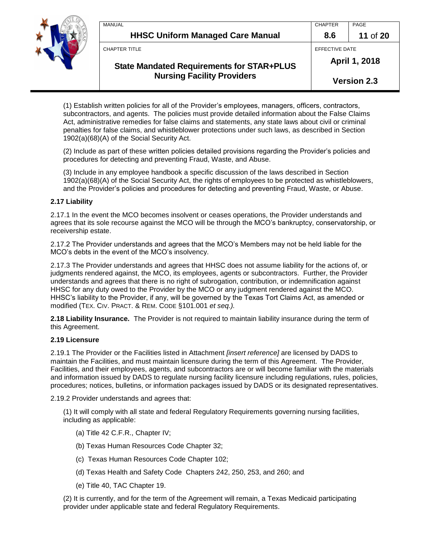

| <b>Nursing Facility Providers</b>                |                | <b>Version 2.3</b> |
|--------------------------------------------------|----------------|--------------------|
| <b>State Mandated Requirements for STAR+PLUS</b> |                | April 1, 2018      |
| <b>CHAPTER TITLE</b>                             | EFFECTIVE DATE |                    |
| <b>HHSC Uniform Managed Care Manual</b>          | 8.6            | 11 of 20           |
| MANUAL                                           | <b>CHAPTER</b> | PAGE               |

(1) Establish written policies for all of the Provider's employees, managers, officers, contractors, subcontractors, and agents. The policies must provide detailed information about the False Claims Act, administrative remedies for false claims and statements, any state laws about civil or criminal penalties for false claims, and whistleblower protections under such laws, as described in Section 1902(a)(68)(A) of the Social Security Act.

(2) Include as part of these written policies detailed provisions regarding the Provider's policies and procedures for detecting and preventing Fraud, Waste, and Abuse.

(3) Include in any employee handbook a specific discussion of the laws described in Section 1902(a)(68)(A) of the Social Security Act, the rights of employees to be protected as whistleblowers, and the Provider's policies and procedures for detecting and preventing Fraud, Waste, or Abuse.

### **2.17 Liability**

2.17.1 In the event the MCO becomes insolvent or ceases operations, the Provider understands and agrees that its sole recourse against the MCO will be through the MCO's bankruptcy, conservatorship, or receivership estate.

2.17.2 The Provider understands and agrees that the MCO's Members may not be held liable for the MCO's debts in the event of the MCO's insolvency.

2.17.3 The Provider understands and agrees that HHSC does not assume liability for the actions of, or judgments rendered against, the MCO, its employees, agents or subcontractors. Further, the Provider understands and agrees that there is no right of subrogation, contribution, or indemnification against HHSC for any duty owed to the Provider by the MCO or any judgment rendered against the MCO. HHSC's liability to the Provider, if any, will be governed by the Texas Tort Claims Act, as amended or modified (TEX. CIV. PRACT. & REM. CODE §101.001 *et seq.).*

**2.18 Liability Insurance.** The Provider is not required to maintain liability insurance during the term of this Agreement.

#### **2.19 Licensure**

2.19.1 The Provider or the Facilities listed in Attachment *[insert reference]* are licensed by DADS to maintain the Facilities, and must maintain licensure during the term of this Agreement. The Provider, Facilities, and their employees, agents, and subcontractors are or will become familiar with the materials and information issued by DADS to regulate nursing facility licensure including regulations, rules, policies, procedures; notices, bulletins, or information packages issued by DADS or its designated representatives.

2.19.2 Provider understands and agrees that:

(1) It will comply with all state and federal Regulatory Requirements governing nursing facilities, including as applicable:

- (a) Title 42 C.F.R., Chapter IV;
- (b) Texas Human Resources Code Chapter 32;
- (c) Texas Human Resources Code Chapter 102;
- (d) Texas Health and Safety Code Chapters 242, 250, 253, and 260; and
- (e) Title 40, TAC Chapter 19.

(2) It is currently, and for the term of the Agreement will remain, a Texas Medicaid participating provider under applicable state and federal Regulatory Requirements.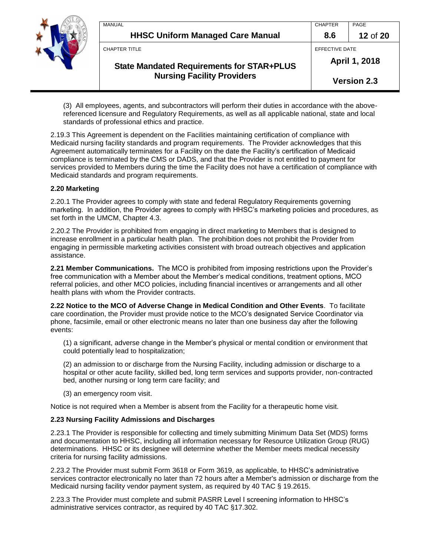

|    | MANUAL                                           | <b>CHAPTER</b>     | PAGE     |
|----|--------------------------------------------------|--------------------|----------|
| 15 | <b>HHSC Uniform Managed Care Manual</b>          | 8.6                | 12 of 20 |
|    | <b>CHAPTER TITLE</b>                             | EFFECTIVE DATE     |          |
|    | <b>State Mandated Requirements for STAR+PLUS</b> | April 1, 2018      |          |
|    | <b>Nursing Facility Providers</b>                | <b>Version 2.3</b> |          |

(3) All employees, agents, and subcontractors will perform their duties in accordance with the abovereferenced licensure and Regulatory Requirements, as well as all applicable national, state and local standards of professional ethics and practice.

2.19.3 This Agreement is dependent on the Facilities maintaining certification of compliance with Medicaid nursing facility standards and program requirements. The Provider acknowledges that this Agreement automatically terminates for a Facility on the date the Facility's certification of Medicaid compliance is terminated by the CMS or DADS, and that the Provider is not entitled to payment for services provided to Members during the time the Facility does not have a certification of compliance with Medicaid standards and program requirements.

### **2.20 Marketing**

2.20.1 The Provider agrees to comply with state and federal Regulatory Requirements governing marketing. In addition, the Provider agrees to comply with HHSC's marketing policies and procedures, as set forth in the UMCM, Chapter 4.3.

2.20.2 The Provider is prohibited from engaging in direct marketing to Members that is designed to increase enrollment in a particular health plan. The prohibition does not prohibit the Provider from engaging in permissible marketing activities consistent with broad outreach objectives and application assistance.

**2.21 Member Communications.** The MCO is prohibited from imposing restrictions upon the Provider's free communication with a Member about the Member's medical conditions, treatment options, MCO referral policies, and other MCO policies, including financial incentives or arrangements and all other health plans with whom the Provider contracts.

**2.22 Notice to the MCO of Adverse Change in Medical Condition and Other Events**. To facilitate care coordination, the Provider must provide notice to the MCO's designated Service Coordinator via phone, facsimile, email or other electronic means no later than one business day after the following events:

(1) a significant, adverse change in the Member's physical or mental condition or environment that could potentially lead to hospitalization;

(2) an admission to or discharge from the Nursing Facility, including admission or discharge to a hospital or other acute facility, skilled bed, long term services and supports provider, non-contracted bed, another nursing or long term care facility; and

(3) an emergency room visit.

Notice is not required when a Member is absent from the Facility for a therapeutic home visit.

### **2.23 Nursing Facility Admissions and Discharges**

2.23.1 The Provider is responsible for collecting and timely submitting Minimum Data Set (MDS) forms and documentation to HHSC, including all information necessary for Resource Utilization Group (RUG) determinations. HHSC or its designee will determine whether the Member meets medical necessity criteria for nursing facility admissions.

2.23.2 The Provider must submit Form 3618 or Form 3619, as applicable, to HHSC's administrative services contractor electronically no later than 72 hours after a Member's admission or discharge from the Medicaid nursing facility vendor payment system, as required by 40 TAC § 19.2615.

2.23.3 The Provider must complete and submit PASRR Level I screening information to HHSC's administrative services contractor, as required by 40 TAC §17.302.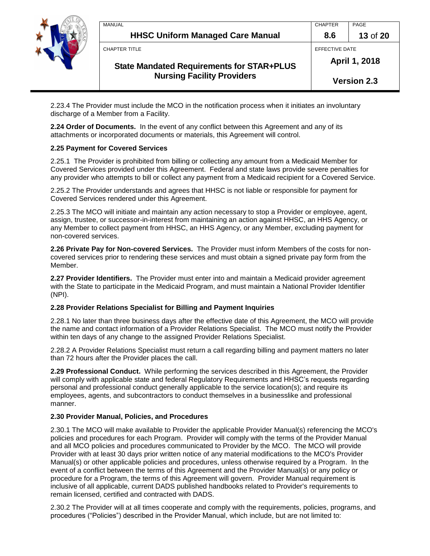

| MANUAL                                           | <b>CHAPTER</b> | PAGE               |  |
|--------------------------------------------------|----------------|--------------------|--|
| <b>HHSC Uniform Managed Care Manual</b>          | 8.6            | 13 of 20           |  |
| <b>CHAPTER TITLE</b>                             | EFFECTIVE DATE |                    |  |
| <b>State Mandated Requirements for STAR+PLUS</b> |                | April 1, 2018      |  |
| <b>Nursing Facility Providers</b>                |                | <b>Version 2.3</b> |  |

2.23.4 The Provider must include the MCO in the notification process when it initiates an involuntary discharge of a Member from a Facility.

**2.24 Order of Documents.** In the event of any conflict between this Agreement and any of its attachments or incorporated documents or materials, this Agreement will control.

### **2.25 Payment for Covered Services**

2.25.1 The Provider is prohibited from billing or collecting any amount from a Medicaid Member for Covered Services provided under this Agreement. Federal and state laws provide severe penalties for any provider who attempts to bill or collect any payment from a Medicaid recipient for a Covered Service.

2.25.2 The Provider understands and agrees that HHSC is not liable or responsible for payment for Covered Services rendered under this Agreement.

2.25.3 The MCO will initiate and maintain any action necessary to stop a Provider or employee, agent, assign, trustee, or successor-in-interest from maintaining an action against HHSC, an HHS Agency, or any Member to collect payment from HHSC, an HHS Agency, or any Member, excluding payment for non-covered services.

**2.26 Private Pay for Non-covered Services.** The Provider must inform Members of the costs for noncovered services prior to rendering these services and must obtain a signed private pay form from the Member.

**2.27 Provider Identifiers.** The Provider must enter into and maintain a Medicaid provider agreement with the State to participate in the Medicaid Program, and must maintain a National Provider Identifier (NPI).

### **2.28 Provider Relations Specialist for Billing and Payment Inquiries**

2.28.1 No later than three business days after the effective date of this Agreement, the MCO will provide the name and contact information of a Provider Relations Specialist. The MCO must notify the Provider within ten days of any change to the assigned Provider Relations Specialist.

2.28.2 A Provider Relations Specialist must return a call regarding billing and payment matters no later than 72 hours after the Provider places the call.

**2.29 Professional Conduct.** While performing the services described in this Agreement, the Provider will comply with applicable state and federal Regulatory Requirements and HHSC's requests regarding personal and professional conduct generally applicable to the service location(s); and require its employees, agents, and subcontractors to conduct themselves in a businesslike and professional manner.

#### **2.30 Provider Manual, Policies, and Procedures**

2.30.1 The MCO will make available to Provider the applicable Provider Manual(s) referencing the MCO's policies and procedures for each Program. Provider will comply with the terms of the Provider Manual and all MCO policies and procedures communicated to Provider by the MCO. The MCO will provide Provider with at least 30 days prior written notice of any material modifications to the MCO's Provider Manual(s) or other applicable policies and procedures, unless otherwise required by a Program. In the event of a conflict between the terms of this Agreement and the Provider Manual(s) or any policy or procedure for a Program, the terms of this Agreement will govern. Provider Manual requirement is inclusive of all applicable, current DADS published handbooks related to Provider's requirements to remain licensed, certified and contracted with DADS.

2.30.2 The Provider will at all times cooperate and comply with the requirements, policies, programs, and procedures ("Policies") described in the Provider Manual, which include, but are not limited to: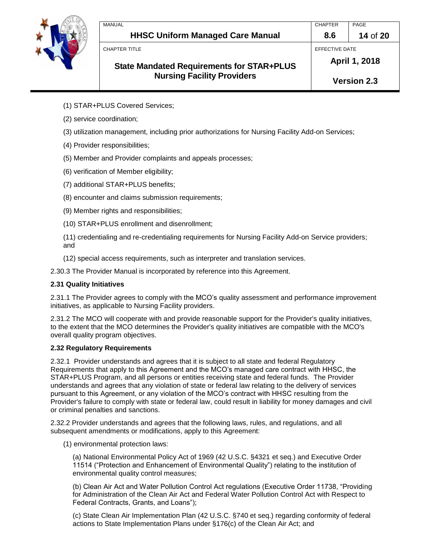

- (1) STAR+PLUS Covered Services;
- (2) service coordination;
- (3) utilization management, including prior authorizations for Nursing Facility Add-on Services;
- (4) Provider responsibilities;
- (5) Member and Provider complaints and appeals processes;
- (6) verification of Member eligibility;
- (7) additional STAR+PLUS benefits;
- (8) encounter and claims submission requirements;
- (9) Member rights and responsibilities;
- (10) STAR+PLUS enrollment and disenrollment;
- (11) credentialing and re-credentialing requirements for Nursing Facility Add-on Service providers; and
- (12) special access requirements, such as interpreter and translation services.

2.30.3 The Provider Manual is incorporated by reference into this Agreement.

### **2.31 Quality Initiatives**

2.31.1 The Provider agrees to comply with the MCO's quality assessment and performance improvement initiatives, as applicable to Nursing Facility providers.

2.31.2 The MCO will cooperate with and provide reasonable support for the Provider's quality initiatives, to the extent that the MCO determines the Provider's quality initiatives are compatible with the MCO's overall quality program objectives.

### **2.32 Regulatory Requirements**

2.32.1 Provider understands and agrees that it is subject to all state and federal Regulatory Requirements that apply to this Agreement and the MCO's managed care contract with HHSC, the STAR+PLUS Program, and all persons or entities receiving state and federal funds. The Provider understands and agrees that any violation of state or federal law relating to the delivery of services pursuant to this Agreement, or any violation of the MCO's contract with HHSC resulting from the Provider's failure to comply with state or federal law, could result in liability for money damages and civil or criminal penalties and sanctions.

2.32.2 Provider understands and agrees that the following laws, rules, and regulations, and all subsequent amendments or modifications, apply to this Agreement:

(1) environmental protection laws:

(a) National Environmental Policy Act of 1969 (42 U.S.C. §4321 et seq.) and Executive Order 11514 ("Protection and Enhancement of Environmental Quality") relating to the institution of environmental quality control measures;

(b) Clean Air Act and Water Pollution Control Act regulations (Executive Order 11738, "Providing for Administration of the Clean Air Act and Federal Water Pollution Control Act with Respect to Federal Contracts, Grants, and Loans");

(c) State Clean Air Implementation Plan (42 U.S.C. §740 et seq.) regarding conformity of federal actions to State Implementation Plans under §176(c) of the Clean Air Act; and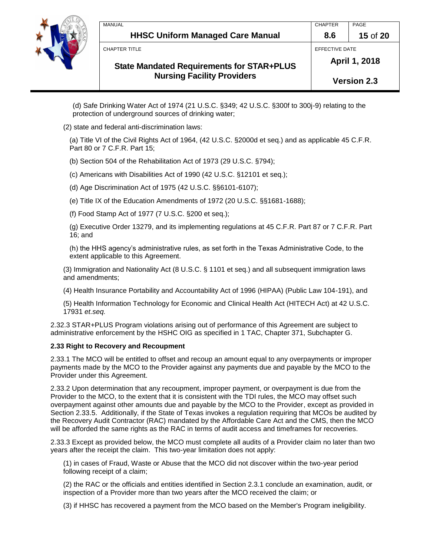

|  | MANUAL                                           | <b>CHAPTER</b>     | PAGE     |
|--|--------------------------------------------------|--------------------|----------|
|  | <b>HHSC Uniform Managed Care Manual</b>          | 8.6                | 15 of 20 |
|  | CHAPTER TITLE                                    | EFFECTIVE DATE     |          |
|  | <b>State Mandated Requirements for STAR+PLUS</b> | April 1, 2018      |          |
|  | <b>Nursing Facility Providers</b>                | <b>Version 2.3</b> |          |

(d) Safe Drinking Water Act of 1974 (21 U.S.C. §349; 42 U.S.C. §300f to 300j-9) relating to the protection of underground sources of drinking water;

(2) state and federal anti-discrimination laws:

(a) Title VI of the Civil Rights Act of 1964, (42 U.S.C. §2000d et seq.) and as applicable 45 C.F.R. Part 80 or 7 C.F.R. Part 15;

(b) Section 504 of the Rehabilitation Act of 1973 (29 U.S.C. §794);

(c) Americans with Disabilities Act of 1990 (42 U.S.C. §12101 et seq.);

(d) Age Discrimination Act of 1975 (42 U.S.C. §§6101-6107);

(e) Title IX of the Education Amendments of 1972 (20 U.S.C. §§1681-1688);

(f) Food Stamp Act of 1977 (7 U.S.C. §200 et seq.);

(g) Executive Order 13279, and its implementing regulations at 45 C.F.R. Part 87 or 7 C.F.R. Part 16; and

(h) the HHS agency's administrative rules, as set forth in the Texas Administrative Code, to the extent applicable to this Agreement.

(3) Immigration and Nationality Act (8 U.S.C. § 1101 et seq.) and all subsequent immigration laws and amendments;

(4) Health Insurance Portability and Accountability Act of 1996 (HIPAA) (Public Law 104-191), and

(5) Health Information Technology for Economic and Clinical Health Act (HITECH Act) at 42 U.S.C. 17931 *et.seq.*

2.32.3 STAR+PLUS Program violations arising out of performance of this Agreement are subject to administrative enforcement by the HSHC OIG as specified in 1 TAC, Chapter 371, Subchapter G.

### **2.33 Right to Recovery and Recoupment**

2.33.1 The MCO will be entitled to offset and recoup an amount equal to any overpayments or improper payments made by the MCO to the Provider against any payments due and payable by the MCO to the Provider under this Agreement.

2.33.2 Upon determination that any recoupment, improper payment, or overpayment is due from the Provider to the MCO, to the extent that it is consistent with the TDI rules, the MCO may offset such overpayment against other amounts due and payable by the MCO to the Provider, except as provided in Section 2.33.5. Additionally, if the State of Texas invokes a regulation requiring that MCOs be audited by the Recovery Audit Contractor (RAC) mandated by the Affordable Care Act and the CMS, then the MCO will be afforded the same rights as the RAC in terms of audit access and timeframes for recoveries.

2.33.3 Except as provided below, the MCO must complete all audits of a Provider claim no later than two years after the receipt the claim. This two-year limitation does not apply:

(1) in cases of Fraud, Waste or Abuse that the MCO did not discover within the two-year period following receipt of a claim;

(2) the RAC or the officials and entities identified in Section 2.3.1 conclude an examination, audit, or inspection of a Provider more than two years after the MCO received the claim; or

(3) if HHSC has recovered a payment from the MCO based on the Member's Program ineligibility.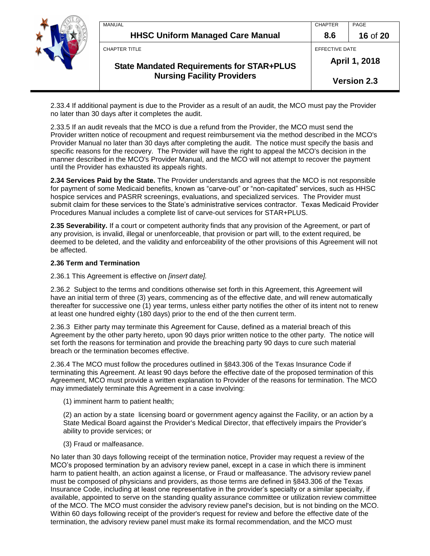

| <b>MANUAL</b>                                    | <b>CHAPTER</b>     | PAGE     |
|--------------------------------------------------|--------------------|----------|
| <b>HHSC Uniform Managed Care Manual</b>          | 8.6                | 16 of 20 |
| CHAPTER TITLE                                    | EFFECTIVE DATE     |          |
| <b>State Mandated Requirements for STAR+PLUS</b> | April 1, 2018      |          |
| <b>Nursing Facility Providers</b>                | <b>Version 2.3</b> |          |

2.33.4 If additional payment is due to the Provider as a result of an audit, the MCO must pay the Provider no later than 30 days after it completes the audit.

2.33.5 If an audit reveals that the MCO is due a refund from the Provider, the MCO must send the Provider written notice of recoupment and request reimbursement via the method described in the MCO's Provider Manual no later than 30 days after completing the audit. The notice must specify the basis and specific reasons for the recovery. The Provider will have the right to appeal the MCO's decision in the manner described in the MCO's Provider Manual, and the MCO will not attempt to recover the payment until the Provider has exhausted its appeals rights.

**2.34 Services Paid by the State.** The Provider understands and agrees that the MCO is not responsible for payment of some Medicaid benefits, known as "carve-out" or "non-capitated" services, such as HHSC hospice services and PASRR screenings, evaluations, and specialized services. The Provider must submit claim for these services to the State's administrative services contractor. Texas Medicaid Provider Procedures Manual includes a complete list of carve-out services for STAR+PLUS.

**2.35 Severability.** If a court or competent authority finds that any provision of the Agreement, or part of any provision, is invalid, illegal or unenforceable, that provision or part will, to the extent required, be deemed to be deleted, and the validity and enforceability of the other provisions of this Agreement will not be affected.

### **2.36 Term and Termination**

#### 2.36.1 This Agreement is effective on *[insert date].*

2.36.2 Subject to the terms and conditions otherwise set forth in this Agreement, this Agreement will have an initial term of three (3) years, commencing as of the effective date, and will renew automatically thereafter for successive one (1) year terms, unless either party notifies the other of its intent not to renew at least one hundred eighty (180 days) prior to the end of the then current term.

2.36.3 Either party may terminate this Agreement for Cause, defined as a material breach of this Agreement by the other party hereto, upon 90 days prior written notice to the other party. The notice will set forth the reasons for termination and provide the breaching party 90 days to cure such material breach or the termination becomes effective.

2.36.4 The MCO must follow the procedures outlined in §843.306 of the Texas Insurance Code if terminating this Agreement. At least 90 days before the effective date of the proposed termination of this Agreement, MCO must provide a written explanation to Provider of the reasons for termination. The MCO may immediately terminate this Agreement in a case involving:

(1) imminent harm to patient health;

(2) an action by a state licensing board or government agency against the Facility, or an action by a State Medical Board against the Provider's Medical Director, that effectively impairs the Provider's ability to provide services; or

#### (3) Fraud or malfeasance.

No later than 30 days following receipt of the termination notice, Provider may request a review of the MCO's proposed termination by an advisory review panel, except in a case in which there is imminent harm to patient health, an action against a license, or Fraud or malfeasance. The advisory review panel must be composed of physicians and providers, as those terms are defined in §843.306 of the Texas Insurance Code, including at least one representative in the provider's specialty or a similar specialty, if available, appointed to serve on the standing quality assurance committee or utilization review committee of the MCO. The MCO must consider the advisory review panel's decision, but is not binding on the MCO. Within 60 days following receipt of the provider's request for review and before the effective date of the termination, the advisory review panel must make its formal recommendation, and the MCO must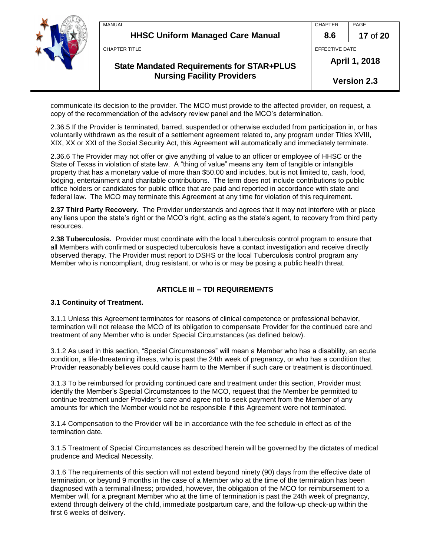

| MANUAL                                           | <b>CHAPTER</b>     | PAGE     |
|--------------------------------------------------|--------------------|----------|
| <b>HHSC Uniform Managed Care Manual</b>          | 8.6                | 17 of 20 |
| <b>CHAPTER TITLE</b>                             | EFFECTIVE DATE     |          |
| <b>State Mandated Requirements for STAR+PLUS</b> | April 1, 2018      |          |
| <b>Nursing Facility Providers</b>                | <b>Version 2.3</b> |          |

communicate its decision to the provider. The MCO must provide to the affected provider, on request, a copy of the recommendation of the advisory review panel and the MCO's determination.

2.36.5 If the Provider is terminated, barred, suspended or otherwise excluded from participation in, or has voluntarily withdrawn as the result of a settlement agreement related to, any program under Titles XVIII, XIX, XX or XXI of the Social Security Act, this Agreement will automatically and immediately terminate.

2.36.6 The Provider may not offer or give anything of value to an officer or employee of HHSC or the State of Texas in violation of state law. A "thing of value" means any item of tangible or intangible property that has a monetary value of more than \$50.00 and includes, but is not limited to, cash, food, lodging, entertainment and charitable contributions. The term does not include contributions to public office holders or candidates for public office that are paid and reported in accordance with state and federal law. The MCO may terminate this Agreement at any time for violation of this requirement.

**2.37 Third Party Recovery.** The Provider understands and agrees that it may not interfere with or place any liens upon the state's right or the MCO's right, acting as the state's agent, to recovery from third party resources.

**2.38 Tuberculosis.** Provider must coordinate with the local tuberculosis control program to ensure that all Members with confirmed or suspected tuberculosis have a contact investigation and receive directly observed therapy. The Provider must report to DSHS or the local Tuberculosis control program any Member who is noncompliant, drug resistant, or who is or may be posing a public health threat.

# **ARTICLE III -- TDI REQUIREMENTS**

### **3.1 Continuity of Treatment.**

3.1.1 Unless this Agreement terminates for reasons of clinical competence or professional behavior, termination will not release the MCO of its obligation to compensate Provider for the continued care and treatment of any Member who is under Special Circumstances (as defined below).

3.1.2 As used in this section, "Special Circumstances" will mean a Member who has a disability, an acute condition, a life-threatening illness, who is past the 24th week of pregnancy, or who has a condition that Provider reasonably believes could cause harm to the Member if such care or treatment is discontinued.

3.1.3 To be reimbursed for providing continued care and treatment under this section, Provider must identify the Member's Special Circumstances to the MCO, request that the Member be permitted to continue treatment under Provider's care and agree not to seek payment from the Member of any amounts for which the Member would not be responsible if this Agreement were not terminated.

3.1.4 Compensation to the Provider will be in accordance with the fee schedule in effect as of the termination date.

3.1.5 Treatment of Special Circumstances as described herein will be governed by the dictates of medical prudence and Medical Necessity.

3.1.6 The requirements of this section will not extend beyond ninety (90) days from the effective date of termination, or beyond 9 months in the case of a Member who at the time of the termination has been diagnosed with a terminal illness; provided, however, the obligation of the MCO for reimbursement to a Member will, for a pregnant Member who at the time of termination is past the 24th week of pregnancy, extend through delivery of the child, immediate postpartum care, and the follow-up check-up within the first 6 weeks of delivery.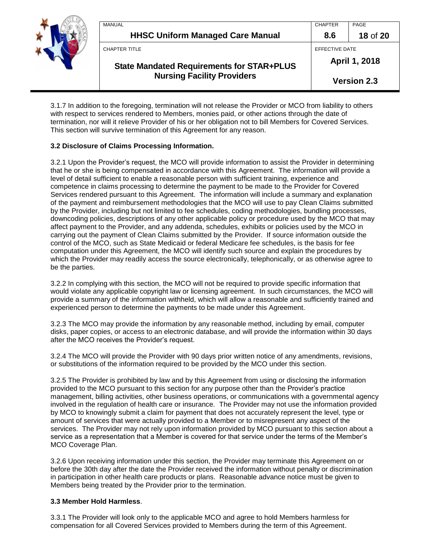| <b>MANUAL</b><br><b>HHSC Uniform Managed Care Manual</b> | <b>CHAPTER</b><br>8.6 | PAGE<br>18 of 20   |
|----------------------------------------------------------|-----------------------|--------------------|
| <b>CHAPTER TITLE</b>                                     | EFFECTIVE DATE        |                    |
| <b>State Mandated Requirements for STAR+PLUS</b>         | April 1, 2018         |                    |
| <b>Nursing Facility Providers</b>                        |                       | <b>Version 2.3</b> |

3.1.7 In addition to the foregoing, termination will not release the Provider or MCO from liability to others with respect to services rendered to Members, monies paid, or other actions through the date of termination, nor will it relieve Provider of his or her obligation not to bill Members for Covered Services. This section will survive termination of this Agreement for any reason.

### **3.2 Disclosure of Claims Processing Information.**

3.2.1 Upon the Provider's request, the MCO will provide information to assist the Provider in determining that he or she is being compensated in accordance with this Agreement. The information will provide a level of detail sufficient to enable a reasonable person with sufficient training, experience and competence in claims processing to determine the payment to be made to the Provider for Covered Services rendered pursuant to this Agreement. The information will include a summary and explanation of the payment and reimbursement methodologies that the MCO will use to pay Clean Claims submitted by the Provider, including but not limited to fee schedules, coding methodologies, bundling processes, downcoding policies, descriptions of any other applicable policy or procedure used by the MCO that may affect payment to the Provider, and any addenda, schedules, exhibits or policies used by the MCO in carrying out the payment of Clean Claims submitted by the Provider. If source information outside the control of the MCO, such as State Medicaid or federal Medicare fee schedules, is the basis for fee computation under this Agreement, the MCO will identify such source and explain the procedures by which the Provider may readily access the source electronically, telephonically, or as otherwise agree to be the parties.

3.2.2 In complying with this section, the MCO will not be required to provide specific information that would violate any applicable copyright law or licensing agreement. In such circumstances, the MCO will provide a summary of the information withheld, which will allow a reasonable and sufficiently trained and experienced person to determine the payments to be made under this Agreement.

3.2.3 The MCO may provide the information by any reasonable method, including by email, computer disks, paper copies, or access to an electronic database, and will provide the information within 30 days after the MCO receives the Provider's request.

3.2.4 The MCO will provide the Provider with 90 days prior written notice of any amendments, revisions, or substitutions of the information required to be provided by the MCO under this section.

3.2.5 The Provider is prohibited by law and by this Agreement from using or disclosing the information provided to the MCO pursuant to this section for any purpose other than the Provider's practice management, billing activities, other business operations, or communications with a governmental agency involved in the regulation of health care or insurance. The Provider may not use the information provided by MCO to knowingly submit a claim for payment that does not accurately represent the level, type or amount of services that were actually provided to a Member or to misrepresent any aspect of the services. The Provider may not rely upon information provided by MCO pursuant to this section about a service as a representation that a Member is covered for that service under the terms of the Member's MCO Coverage Plan.

3.2.6 Upon receiving information under this section, the Provider may terminate this Agreement on or before the 30th day after the date the Provider received the information without penalty or discrimination in participation in other health care products or plans. Reasonable advance notice must be given to Members being treated by the Provider prior to the termination.

### **3.3 Member Hold Harmless**.

3.3.1 The Provider will look only to the applicable MCO and agree to hold Members harmless for compensation for all Covered Services provided to Members during the term of this Agreement.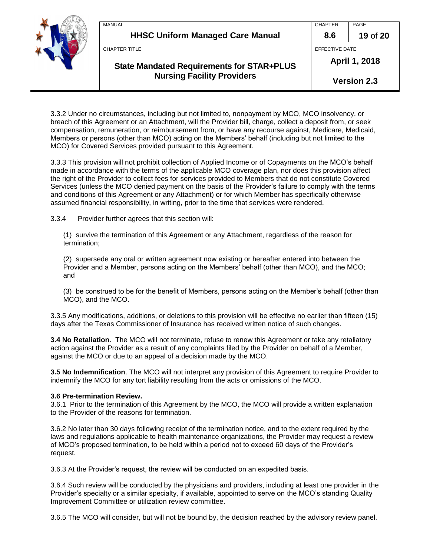| <b>MANUAL</b><br><b>HHSC Uniform Managed Care Manual</b>                              | <b>CHAPTER</b><br>8.6               | PAGE<br>19 of 20 |
|---------------------------------------------------------------------------------------|-------------------------------------|------------------|
| CHAPTER TITLE                                                                         | EFFECTIVE DATE                      |                  |
| <b>State Mandated Requirements for STAR+PLUS</b><br><b>Nursing Facility Providers</b> | April 1, 2018<br><b>Version 2.3</b> |                  |

3.3.2 Under no circumstances, including but not limited to, nonpayment by MCO, MCO insolvency, or breach of this Agreement or an Attachment, will the Provider bill, charge, collect a deposit from, or seek compensation, remuneration, or reimbursement from, or have any recourse against, Medicare, Medicaid, Members or persons (other than MCO) acting on the Members' behalf (including but not limited to the MCO) for Covered Services provided pursuant to this Agreement.

3.3.3 This provision will not prohibit collection of Applied Income or of Copayments on the MCO's behalf made in accordance with the terms of the applicable MCO coverage plan, nor does this provision affect the right of the Provider to collect fees for services provided to Members that do not constitute Covered Services (unless the MCO denied payment on the basis of the Provider's failure to comply with the terms and conditions of this Agreement or any Attachment) or for which Member has specifically otherwise assumed financial responsibility, in writing, prior to the time that services were rendered.

3.3.4 Provider further agrees that this section will:

(1) survive the termination of this Agreement or any Attachment, regardless of the reason for termination;

(2) supersede any oral or written agreement now existing or hereafter entered into between the Provider and a Member, persons acting on the Members' behalf (other than MCO), and the MCO; and

(3) be construed to be for the benefit of Members, persons acting on the Member's behalf (other than MCO), and the MCO.

3.3.5 Any modifications, additions, or deletions to this provision will be effective no earlier than fifteen (15) days after the Texas Commissioner of Insurance has received written notice of such changes.

**3.4 No Retaliation**. The MCO will not terminate, refuse to renew this Agreement or take any retaliatory action against the Provider as a result of any complaints filed by the Provider on behalf of a Member, against the MCO or due to an appeal of a decision made by the MCO.

**3.5 No Indemnification**. The MCO will not interpret any provision of this Agreement to require Provider to indemnify the MCO for any tort liability resulting from the acts or omissions of the MCO.

#### **3.6 Pre-termination Review.**

3.6.1 Prior to the termination of this Agreement by the MCO, the MCO will provide a written explanation to the Provider of the reasons for termination.

3.6.2 No later than 30 days following receipt of the termination notice, and to the extent required by the laws and regulations applicable to health maintenance organizations, the Provider may request a review of MCO's proposed termination, to be held within a period not to exceed 60 days of the Provider's request.

3.6.3 At the Provider's request, the review will be conducted on an expedited basis.

3.6.4 Such review will be conducted by the physicians and providers, including at least one provider in the Provider's specialty or a similar specialty, if available, appointed to serve on the MCO's standing Quality Improvement Committee or utilization review committee.

3.6.5 The MCO will consider, but will not be bound by, the decision reached by the advisory review panel.